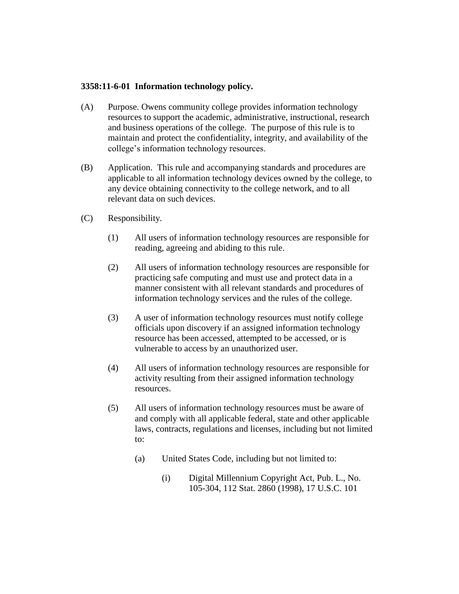## **3358:11-6-01 Information technology policy.**

- (A) Purpose. Owens community college provides information technology resources to support the academic, administrative, instructional, research and business operations of the college. The purpose of this rule is to maintain and protect the confidentiality, integrity, and availability of the college's information technology resources.
- (B) Application. This rule and accompanying standards and procedures are applicable to all information technology devices owned by the college, to any device obtaining connectivity to the college network, and to all relevant data on such devices.
- (C) Responsibility.
	- (1) All users of information technology resources are responsible for reading, agreeing and abiding to this rule.
	- (2) All users of information technology resources are responsible for practicing safe computing and must use and protect data in a manner consistent with all relevant standards and procedures of information technology services and the rules of the college.
	- (3) A user of information technology resources must notify college officials upon discovery if an assigned information technology resource has been accessed, attempted to be accessed, or is vulnerable to access by an unauthorized user.
	- (4) All users of information technology resources are responsible for activity resulting from their assigned information technology resources.
	- (5) All users of information technology resources must be aware of and comply with all applicable federal, state and other applicable laws, contracts, regulations and licenses, including but not limited to:
		- (a) United States Code, including but not limited to:
			- (i) Digital Millennium Copyright Act, Pub. L., No. 105-304, 112 Stat. 2860 (1998), 17 U.S.C. 101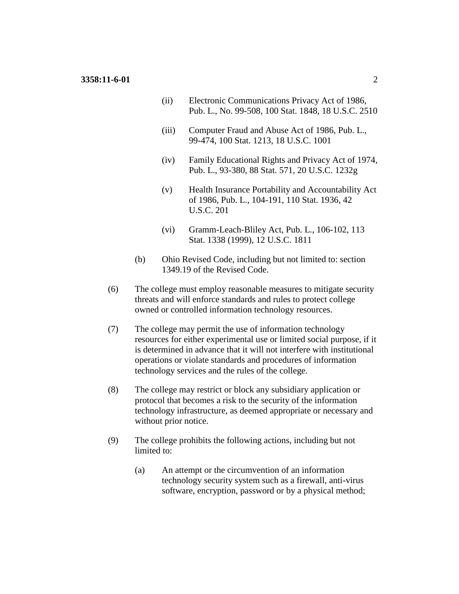- (ii) Electronic Communications Privacy Act of 1986, Pub. L., No. 99-508, 100 Stat. 1848, 18 U.S.C. 2510
- (iii) Computer Fraud and Abuse Act of 1986, Pub. L., 99-474, 100 Stat. 1213, 18 U.S.C. 1001
- (iv) Family Educational Rights and Privacy Act of 1974, Pub. L., 93-380, 88 Stat. 571, 20 U.S.C. 1232g
- (v) Health Insurance Portability and Accountability Act of 1986, Pub. L., 104-191, 110 Stat. 1936, 42 U.S.C. 201
- (vi) Gramm-Leach-Bliley Act, Pub. L., 106-102, 113 Stat. 1338 (1999), 12 U.S.C. 1811
- (b) Ohio Revised Code, including but not limited to: section 1349.19 of the Revised Code.
- (6) The college must employ reasonable measures to mitigate security threats and will enforce standards and rules to protect college owned or controlled information technology resources.
- (7) The college may permit the use of information technology resources for either experimental use or limited social purpose, if it is determined in advance that it will not interfere with institutional operations or violate standards and procedures of information technology services and the rules of the college.
- (8) The college may restrict or block any subsidiary application or protocol that becomes a risk to the security of the information technology infrastructure, as deemed appropriate or necessary and without prior notice.
- (9) The college prohibits the following actions, including but not limited to:
	- (a) An attempt or the circumvention of an information technology security system such as a firewall, anti-virus software, encryption, password or by a physical method;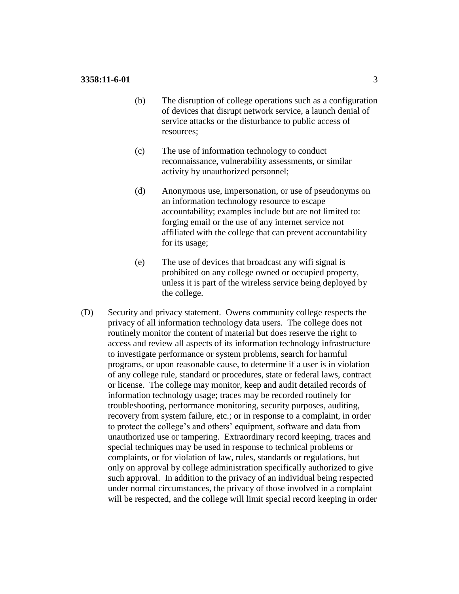- (b) The disruption of college operations such as a configuration of devices that disrupt network service, a launch denial of service attacks or the disturbance to public access of resources;
- (c) The use of information technology to conduct reconnaissance, vulnerability assessments, or similar activity by unauthorized personnel;
- (d) Anonymous use, impersonation, or use of pseudonyms on an information technology resource to escape accountability; examples include but are not limited to: forging email or the use of any internet service not affiliated with the college that can prevent accountability for its usage;
- (e) The use of devices that broadcast any wifi signal is prohibited on any college owned or occupied property, unless it is part of the wireless service being deployed by the college.
- (D) Security and privacy statement. Owens community college respects the privacy of all information technology data users. The college does not routinely monitor the content of material but does reserve the right to access and review all aspects of its information technology infrastructure to investigate performance or system problems, search for harmful programs, or upon reasonable cause, to determine if a user is in violation of any college rule, standard or procedures, state or federal laws, contract or license. The college may monitor, keep and audit detailed records of information technology usage; traces may be recorded routinely for troubleshooting, performance monitoring, security purposes, auditing, recovery from system failure, etc.; or in response to a complaint, in order to protect the college's and others' equipment, software and data from unauthorized use or tampering. Extraordinary record keeping, traces and special techniques may be used in response to technical problems or complaints, or for violation of law, rules, standards or regulations, but only on approval by college administration specifically authorized to give such approval. In addition to the privacy of an individual being respected under normal circumstances, the privacy of those involved in a complaint will be respected, and the college will limit special record keeping in order